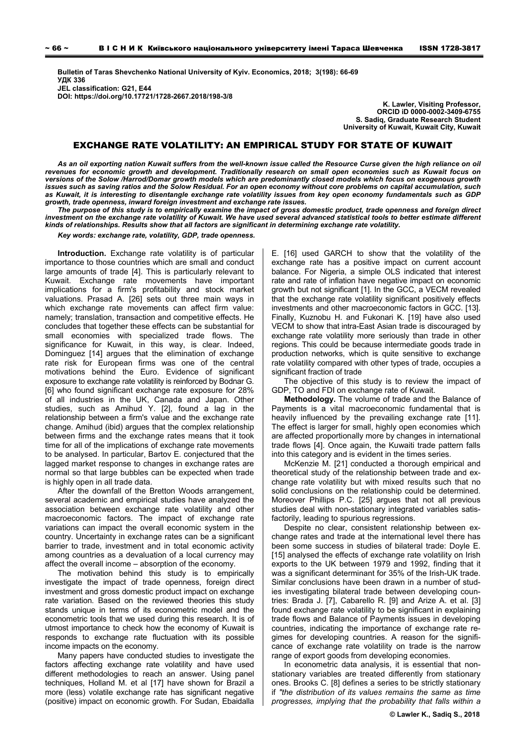**Bulletin of Taras Shevchenko National University of Kyiv. Economics, 2018; 3(198): 66-69 УДК 336 JEL classification: G21, E44 DOI: https://doi.org/10.17721/1728-2667.2018/198-3/8** 

**K. Lawler, Visiting Professor, ORCID iD 0000-0002-3409-6755 S. Sadiq, Graduate Research Student University of Kuwait, Kuwait City, Kuwait** 

## EXCHANGE RATE VOLATILITY: AN EMPIRICAL STUDY FOR STATE OF KUWAIT

*As an oil exporting nation Kuwait suffers from the well-known issue called the Resource Curse given the high reliance on oil revenues for economic growth and development. Traditionally research on small open economies such as Kuwait focus on versions of the Solow /Harrod/Domar growth models which are predominantly closed models which focus on exogenous growth issues such as saving ratios and the Solow Residual. For an open economy without core problems on capital accumulation, such as Kuwait, it is interesting to disentangle exchange rate volatility issues from key open economy fundamentals such as GDP growth, trade openness, inward foreign investment and exchange rate issues.* 

*The purpose of this study is to empirically examine the impact of gross domestic product, trade openness and foreign direct investment on the exchange rate volatility of Kuwait. We have used several advanced statistical tools to better estimate different kinds of relationships. Results show that all factors are significant in determining exchange rate volatility.* 

*Key words: exchange rate, volatility, GDP, trade openness.* 

**Introduction.** Exchange rate volatility is of particular importance to those countries which are small and conduct large amounts of trade [4]. This is particularly relevant to Kuwait. Exchange rate movements have important implications for a firm's profitability and stock market valuations. Prasad A. [26] sets out three main ways in which exchange rate movements can affect firm value: namely; translation, transaction and competitive effects. He concludes that together these effects can be substantial for small economies with specialized trade flows. The significance for Kuwait, in this way, is clear, Indeed, Dominguez [14] argues that the elimination of exchange rate risk for European firms was one of the central motivations behind the Euro. Evidence of significant exposure to exchange rate volatility is reinforced by Bodnar G. [6] who found significant exchange rate exposure for 28% of all industries in the UK, Canada and Japan. Other studies, such as Amihud Y. [2], found a lag in the relationship between a firm's value and the exchange rate change. Amihud (ibid) argues that the complex relationship between firms and the exchange rates means that it took time for all of the implications of exchange rate movements to be analysed. In particular, Bartov E. conjectured that the lagged market response to changes in exchange rates are normal so that large bubbles can be expected when trade is highly open in all trade data.

After the downfall of the Bretton Woods arrangement, several academic and empirical studies have analyzed the association between exchange rate volatility and other macroeconomic factors. The impact of exchange rate variations can impact the overall economic system in the country. Uncertainty in exchange rates can be a significant barrier to trade, investment and in total economic activity among countries as a devaluation of a local currency may affect the overall income – absorption of the economy.

The motivation behind this study is to empirically investigate the impact of trade openness, foreign direct investment and gross domestic product impact on exchange rate variation. Based on the reviewed theories this study stands unique in terms of its econometric model and the econometric tools that we used during this research. It is of utmost importance to check how the economy of Kuwait is responds to exchange rate fluctuation with its possible income impacts on the economy.

Many papers have conducted studies to investigate the factors affecting exchange rate volatility and have used different methodologies to reach an answer. Using panel techniques, Holland M. et al [17] have shown for Brazil a more (less) volatile exchange rate has significant negative (positive) impact on economic growth. For Sudan, Ebaidalla E. [16] used GARCH to show that the volatility of the exchange rate has a positive impact on current account balance. For Nigeria, a simple OLS indicated that interest rate and rate of inflation have negative impact on economic growth but not significant [1]. In the GCC, a VECM revealed that the exchange rate volatility significant positively effects investments and other macroeconomic factors in GCC. [13]. Finally, Kuznobu H. and Fukonari K. [19] have also used VECM to show that intra-East Asian trade is discouraged by exchange rate volatility more seriously than trade in other regions. This could be because intermediate goods trade in production networks, which is quite sensitive to exchange rate volatility compared with other types of trade, occupies a significant fraction of trade

The objective of this study is to review the impact of GDP, TO and FDI on exchange rate of Kuwait.

**Methodology.** The volume of trade and the Balance of Payments is a vital macroeconomic fundamental that is heavily influenced by the prevailing exchange rate [11]. The effect is larger for small, highly open economies which are affected proportionally more by changes in international trade flows [4]. Once again, the Kuwaiti trade pattern falls into this category and is evident in the times series.

McKenzie M. [21] conducted a thorough empirical and theoretical study of the relationship between trade and exchange rate volatility but with mixed results such that no solid conclusions on the relationship could be determined. Moreover Phillips P.C. [25] argues that not all previous studies deal with non-stationary integrated variables satisfactorily, leading to spurious regressions.

Despite no clear, consistent relationship between exchange rates and trade at the international level there has been some success in studies of bilateral trade: Doyle E. [15] analysed the effects of exchange rate volatility on Irish exports to the UK between 1979 and 1992, finding that it was a significant determinant for 35% of the Irish-UK trade. Similar conclusions have been drawn in a number of studies investigating bilateral trade between developing countries: Brada J. [7], Cabarello R. [9] and Arize A. et al. [3] found exchange rate volatility to be significant in explaining trade flows and Balance of Payments issues in developing countries, indicating the importance of exchange rate regimes for developing countries. A reason for the significance of exchange rate volatility on trade is the narrow range of export goods from developing economies.

In econometric data analysis, it is essential that nonstationary variables are treated differently from stationary ones. Brooks C. [8] defines a series to be strictly stationary if *"the distribution of its values remains the same as time progresses, implying that the probability that falls within a*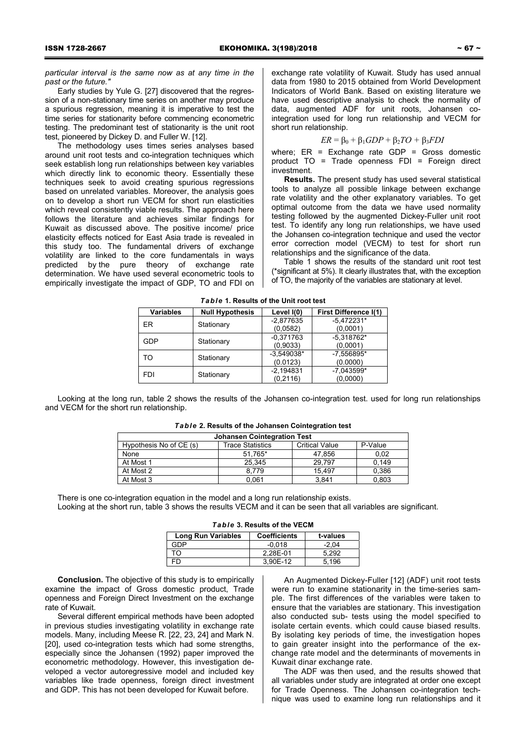*particular interval is the same now as at any time in the past or the future."* 

Early studies by Yule G. [27] discovered that the regression of a non-stationary time series on another may produce a spurious regression, meaning it is imperative to test the time series for stationarity before commencing econometric testing. The predominant test of stationarity is the unit root test, pioneered by Dickey D. and Fuller W. [12].

The methodology uses times series analyses based around unit root tests and co-integration techniques which seek establish long run relationships between key variables which directly link to economic theory. Essentially these techniques seek to avoid creating spurious regressions based on unrelated variables. Moreover, the analysis goes on to develop a short run VECM for short run elasticities which reveal consistently viable results. The approach here follows the literature and achieves similar findings for Kuwait as discussed above. The positive income/ price elasticity effects noticed for East Asia trade is revealed in this study too. The fundamental drivers of exchange volatility are linked to the core fundamentals in ways predicted by the pure theory of exchange rate determination. We have used several econometric tools to empirically investigate the impact of GDP, TO and FDI on exchange rate volatility of Kuwait. Study has used annual data from 1980 to 2015 obtained from World Development Indicators of World Bank. Based on existing literature we have used descriptive analysis to check the normality of data, augmented ADF for unit roots, Johansen cointegration used for long run relationship and VECM for short run relationship.

### *ER* =  $β_0 + β_1GDP + β_2TO + β_3FDI$

where; ER = Exchange rate GDP = Gross domestic product TO = Trade openness FDI = Foreign direct investment.

**Results.** The present study has used several statistical tools to analyze all possible linkage between exchange rate volatility and the other explanatory variables. To get optimal outcome from the data we have used normality testing followed by the augmented Dickey-Fuller unit root test. To identify any long run relationships, we have used the Johansen co-integration technique and used the vector error correction model (VECM) to test for short run relationships and the significance of the data.

Table 1 shows the results of the standard unit root test (\*significant at 5%). It clearly illustrates that, with the exception of TO, the majority of the variables are stationary at level.

| <b>Variables</b> | <b>Null Hypothesis</b> | Level I(0)   | <b>First Difference I(1)</b> |
|------------------|------------------------|--------------|------------------------------|
|                  |                        |              |                              |
| FR               | Stationary             | $-2,877635$  | $-5,472231*$                 |
|                  |                        | (0.0582)     | (0,0001)                     |
|                  |                        | $-0,371763$  | $-5,318762*$                 |
| <b>GDP</b>       | Stationary             | (0,9033)     | (0,0001)                     |
| TO               | Stationary             | $-3,549038*$ | -7.556895*                   |
|                  |                        | (0.0123)     | (0.0000)                     |
| <b>FDI</b>       |                        | $-2,194831$  | $-7.043599*$                 |
|                  | Stationary             | (0,2116)     | (0,0000)                     |

*Table* **1. Results of the Unit root test** 

Looking at the long run, table 2 shows the results of the Johansen co-integration test. used for long run relationships and VECM for the short run relationship.

| <b>Johansen Cointegration Test</b> |                         |                       |         |  |
|------------------------------------|-------------------------|-----------------------|---------|--|
| Hypothesis No of CE (s)            | <b>Trace Statistics</b> | <b>Critical Value</b> | P-Value |  |
| None                               | 51,765*                 | 47,856                | 0,02    |  |
| At Most 1                          | 25.345                  | 29.797                | 0.149   |  |
| At Most 2                          | 8.779                   | 15.497                | 0,386   |  |
| At Most 3                          | 0.061                   | 3.841                 | 0.803   |  |

| Table 2. Results of the Johansen Cointegration test |  |  |
|-----------------------------------------------------|--|--|
|-----------------------------------------------------|--|--|

There is one co-integration equation in the model and a long run relationship exists. Looking at the short run, table 3 shows the results VECM and it can be seen that all variables are significant.

|  |  |  | Table 3. Results of the VECM |  |
|--|--|--|------------------------------|--|
|--|--|--|------------------------------|--|

| <b>Long Run Variables</b> | <b>Coefficients</b> | t-values |
|---------------------------|---------------------|----------|
| חר≏                       | $-0.018$            | $-2.04$  |
| ה־                        | 2.28E-01            | 5.292    |
|                           | 3.90E-12            | 5.196    |

**Conclusion.** The objective of this study is to empirically examine the impact of Gross domestic product, Trade openness and Foreign Direct Investment on the exchange rate of Kuwait.

Several different empirical methods have been adopted in previous studies investigating volatility in exchange rate models. Many, including Meese R. [22, 23, 24] and Mark N. [20], used co-integration tests which had some strengths, especially since the Johansen (1992) paper improved the econometric methodology. However, this investigation developed a vector autoregressive model and included key variables like trade openness, foreign direct investment and GDP. This has not been developed for Kuwait before.

An Augmented Dickey-Fuller [12] (ADF) unit root tests were run to examine stationarity in the time-series sample. The first differences of the variables were taken to ensure that the variables are stationary. This investigation also conducted sub- tests using the model specified to isolate certain events. which could cause biased results. By isolating key periods of time, the investigation hopes to gain greater insight into the performance of the exchange rate model and the determinants of movements in Kuwait dinar exchange rate.

The ADF was then used, and the results showed that all variables under study are integrated at order one except for Trade Openness. The Johansen co-integration technique was used to examine long run relationships and it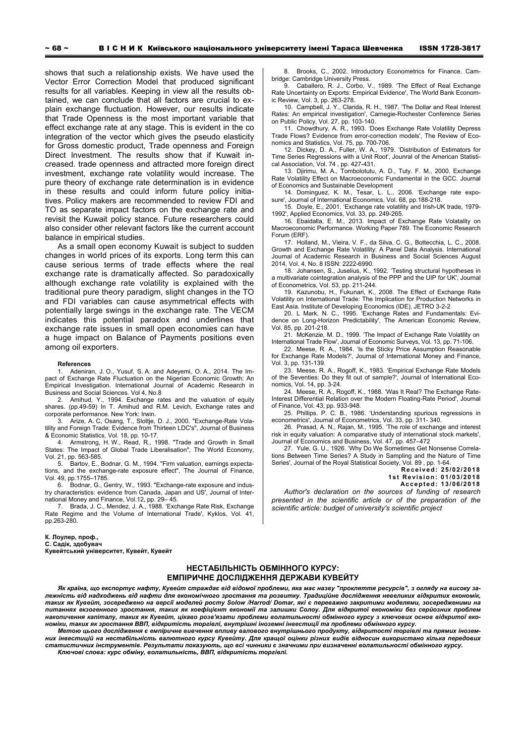shows that such a relationship exists. We have used the Vector Error Correction Model that produced significant results for all variables. Keeping in view all the results obtained, we can conclude that all factors are crucial to explain exchange fluctuation. However, our results indicate that Trade Openness is the most important variable that effect exchange rate at any stage. This is evident in the co integration of the vector which gives the pseudo elasticity for Gross domestic product, Trade openness and Foreign Direct Investment. The results show that if Kuwait increased. trade openness and attracted more foreign direct investment, exchange rate volatility would increase. The pure theory of exchange rate determination is in evidence in these results and could inform future policy initiatives. Policy makers are recommended to review FDI and TO as separate impact factors on the exchange rate and revisit the Kuwait policy stance. Future researchers could also consider other relevant factors like the current account balance in empirical studies.

As a small open economy Kuwait is subject to sudden changes in world prices of its exports. Long term this can cause serious terms of trade effects where the real exchange rate is dramatically affected. So paradoxically although exchange rate volatility is explained with the traditional pure theory paradigm, slight changes in the TO and FDI variables can cause asymmetrical effects with potentially large swings in the exchange rate. The VECM indicates this potential paradox and underlines that exchange rate issues in small open economies can have a huge impact on Balance of Payments positions even among oil exporters.

#### **References**

Adeniran, J. O., Yusuf, S. A. and Adeyemi, O. A., 2014. The Impact of Exchange Rate Fluctuation on the Nigerian Economic Growth: An Empirical Investigation. International Journal of Academic Research in Business and Social Sciences. Vol 4, No.8

2. Amihud, Y., 1994. Exchange rates and the valuation of equity shares. (pp.49-59) In T. Amihud and R.M. Levich, Exchange rates and corporate performance. New York: Irwin.

3. Arize, A. C, Osang, T., Slottje, D. J., 2000. "Exchange-Rate Volatility and Foreign Trade: Evidence from Thirteen LDC's", Journal of Business & Economic Statistics, Vol. 18, pp. 10-17.

4. Armstrong, H. W., Read, R., 1998. "Trade and Growth in Small States: The Impact of Global Trade Liberalisation", The World Economy, Vol. 21, pp. 563-585.

5. Bartov, E., Bodnar, G. M., 1994. "Firm valuation, earnings expectations, and the exchange-rate exposure effect", The Journal of Finance, Vol. 49, pp.1755–1785.

6. Bodnar, G., Gentry, W., 1993. "Exchange-rate exposure and industry characteristics: evidence from Canada, Japan and US', Journal of International Money and Finance, Vol.12, pp. 29– 45.

7. Brada, J. C., Mendez, J. A., 1988. 'Exchange Rate Risk, Exchange Rate Regime and the Volume of International Trade', Kyklos, Vol. 41, pp.263-280.

### **К. Лоулер, проф.,**

**С. Садік, здобувач Кувейтський університет, Кувейт, Кувейт** 

8. Brooks, C., 2002. Introductory Econometrics for Finance. Cambridge: Cambridge University Press.

9. Caballero, R. J., Corbo, V., 1989. 'The Effect of Real Exchange Rate Uncertainty on Exports: Empirical Evidence', The World Bank Economic Review, Vol. 3, pp. 263-278.

10. Campbell, J. Y., Clarida, R. H., 1987. 'The Dollar and Real Interest Rates: An empirical investigation', Carnegie-Rochester Conference Series on Public Policy, Vol. 27, pp. 103-140.

11. Chowdhury, A. R., 1993. 'Does Exchange Rate Volatility Depress Trade Flows? Evidence from error-correction models', The Review of Economics and Statistics, Vol. 75, pp. 700-706.

12. Dickey, D. A., Fuller, W. A., 1979. 'Distribution of Estimators for Time Series Regressions with a Unit Root', Jounral of the American Statistical Association, Vol. 74 , pp. 427-431.

13. Djirimu, M. A., Tombolotutu, A. D., Tuty. F. M., 2000. Exchange Rate Volatility Effect on Macroeconomic Fundamental in the GCC. Journal of Economics and Sustainable Development

14. Dominguez, K. M., Tesar, L. L., 2006. 'Exchange rate exposure', Journal of International Economics, Vol. 68, pp.188-218. 15. Doyle, E., 2001. 'Exchange rate volatility and Irish-UK trade, 1979-

1992', Applied Economics, Vol. 33, pp. 249-265. 16. Ebaidalla, E. M., 2013. Impact of Exchange Rate Volatality on

Macroeconomic Performance. Working Paper 789. The Economic Research Forum (ERF).

17. Holland, M., Vieira, V. F., da Silva, C. G., Bottecchia, L. C., 2008. Growth and Exchange Rate Volatility: A Panel Data Analysis. International Journal of Academic Research in Business and Social Sciences August 2014, Vol. 4, No. 8 ISSN: 2222-6990.

18. Johansen, S., Juselius, K., 1992. 'Testing structural hypotheses in a multivariate cointegration analysis of the PPP and the UIP for UK', Journal of Econometrics, Vol. 53, pp. 211-244.

19. Kazunobu, H., Fukunari, K., 2008. The Effect of Exchange Rate Volatility on International Trade: The Implication for Production Networks in East Asia. Institute of Developing Economics (IDE), JETRO 3-2-2

20. L Mark, N. C., 1995. 'Exchange Rates and Fundamentals: Evidence on Long-Horizon Predictability', The American Economic Review, Vol. 85, pp. 201-218.

21. McKenzie, M. D., 1999. 'The Impact of Exchange Rate Volatility on International Trade Flow', Journal of Economic Surveys, Vol. 13, pp. 71-106.

22. Meese, R. A., 1984. 'Is the Sticky Price Assumption Reasonable for Exchange Rate Models?', Journal of International Money and Finance, Vol. 3, pp. 131-139.

23. Meese, R. A., Rogoff, K., 1983. 'Empirical Exchange Rate Models of the Seventies: Do they fit out of sample?', Journal of International Economics, Vol. 14, pp. 3-24.

24. Meese, R. A., Rogoff, K., 1988. 'Was It Real? The Exchange Rate-Interest Differential Relation over the Modern Floating-Rate Period', Journal of Finance, Vol. 43, pp. 933-948.

25. Phillips. P. C. B., 1986. 'Understanding spurious regressions in econometrics', Journal of Econometrics, Vol. 33, pp. 311- 340.

26. Prasad, A. N., Rajan, M., 1995. 'The role of exchange and interest risk in equity valuation: A comparative study of international stock markets', Journal of Economics and Business, Vol. 47, pp. 457–472

27. Yule, G. U., 1926. 'Why Do We Sometimes Get Nonsense Correlations Between Time Series? A Study in Sampling and the Nature of Time Series', Journal of the Royal Statistical Society, Vol. 89 , pp. 1-64.

**Received: 25/02/2018 1st Revision: 01/03/2018** 

**Accepted: 13/06/2018** 

*Author's declaration on the sources of funding of research presented in the scientific article or of the preparation of the scientific article: budget of university's scientific project* 

# **НЕСТАБІЛЬНІСТЬ ОБМІННОГО КУРСУ: ЕМПІРИЧНЕ ДОСЛІДЖЕННЯ ДЕРЖАВИ КУВЕЙТУ**

Як країна, що експортує нафту, Кувейт страждає від відомої проблеми, яка має назву "прокляття ресурсів", з огляду на високу залежність від надходжень від нафти для економічного зростання та розвитку. Традиційне дослідження невеликих відкритих економік, таких як Кувейт, зосереджено на версії моделей росту Solow /Harrod/ Domar, які є переважно закритими моделями, зосередженими на питаннях екзогенного зростання, таких як коефіцієнт економії та залишки Солоу. Для відкритої економіки без серйозних проблем накопичення капіталу, таких як Кувейт, цікаво розв'язати проблеми волатильності обмінного курсу з ключових основ відкритої економіки, таких як зростання ВВП, відкритість торгівлі, внутрішні іноземні інвестиції та проблеми обмінного курсу

Метою цього дослідження є емпіричне вивчення впливу валового внутрішнього продукту, відкритості торгівлі та прямих іноземних інвестицій на нестабільність валютного курсу Кувейту. Для кращої оцінки різних видів відносин використано кілька передових статистичних інструментів. Результати показують, що всі чинники є значними при визначенні волатильності обмінного курсу. *Ключові слова: курс обміну, волатильність, ВВП, відкритість торгівлі.*